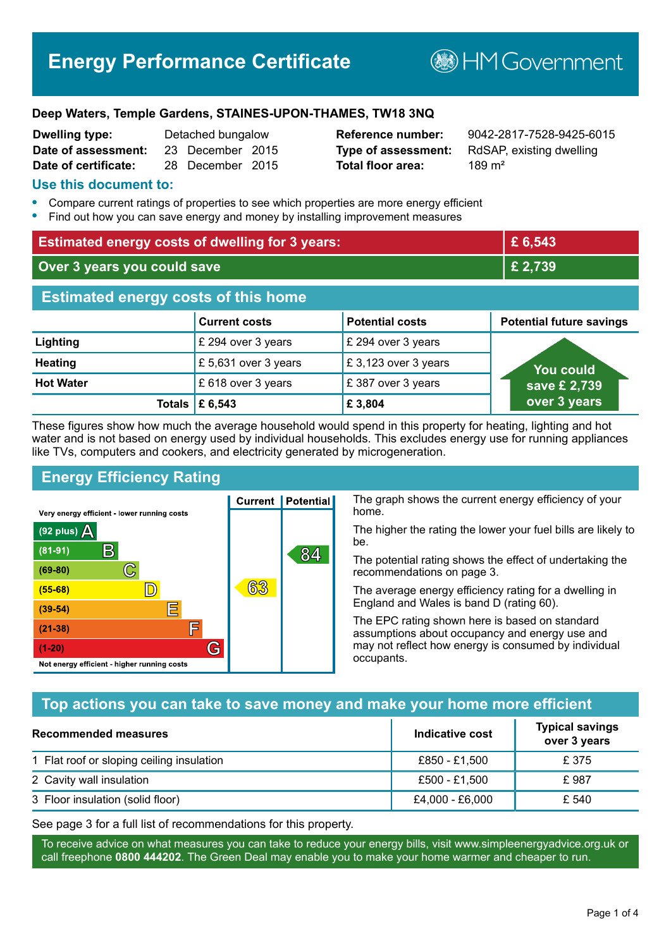# **Energy Performance Certificate**

**BHM Government** 

#### **Deep Waters, Temple Gardens, STAINES-UPON-THAMES, TW18 3NQ**

| <b>Dwelling type:</b> | Detached bungalow |                  |  |
|-----------------------|-------------------|------------------|--|
| Date of assessment:   |                   | 23 December 2015 |  |
| Date of certificate:  |                   | 28 December 2015 |  |

# **Total floor area:** 289 m<sup>2</sup>

**Reference number:** 9042-2817-7528-9425-6015 **Type of assessment:** RdSAP, existing dwelling

#### **Use this document to:**

- **•** Compare current ratings of properties to see which properties are more energy efficient
- **•** Find out how you can save energy and money by installing improvement measures

| <b>Estimated energy costs of dwelling for 3 years:</b> |                           | £6,543                 |                                 |
|--------------------------------------------------------|---------------------------|------------------------|---------------------------------|
| Over 3 years you could save                            |                           | £ 2,739                |                                 |
| <b>Estimated energy costs of this home</b>             |                           |                        |                                 |
|                                                        | <b>Current costs</b>      | <b>Potential costs</b> | <b>Potential future savings</b> |
| Lighting                                               | £ 294 over 3 years        | £ 294 over 3 years     |                                 |
| <b>Heating</b>                                         | £ 5,631 over 3 years      | £3,123 over 3 years    | <b>You could</b>                |
| <b>Hot Water</b>                                       | £ 618 over 3 years        | £387 over 3 years      | save £ 2,739                    |
|                                                        | Totals $\mathsf{E}$ 6,543 | £3,804                 | over 3 years                    |

These figures show how much the average household would spend in this property for heating, lighting and hot water and is not based on energy used by individual households. This excludes energy use for running appliances like TVs, computers and cookers, and electricity generated by microgeneration.

**Current | Potential** 

63

# **Energy Efficiency Rating**

 $\mathbb{C}$ 

 $\mathbb{D}$ 

E

庐

G

Very energy efficient - lower running costs

R

Not energy efficient - higher running costs

 $(92$  plus)

 $(81 - 91)$ 

 $(69 - 80)$ 

 $(55-68)$ 

 $(39 - 54)$ 

 $(21-38)$ 

 $(1-20)$ 

- 78

The graph shows the current energy efficiency of your home.

The higher the rating the lower your fuel bills are likely to be.

The potential rating shows the effect of undertaking the recommendations on page 3.

The average energy efficiency rating for a dwelling in England and Wales is band D (rating 60).

The EPC rating shown here is based on standard assumptions about occupancy and energy use and may not reflect how energy is consumed by individual occupants.

#### **Top actions you can take to save money and make your home more efficient**

84

| <b>Recommended measures</b>               | Indicative cost | <b>Typical savings</b><br>over 3 years |
|-------------------------------------------|-----------------|----------------------------------------|
| 1 Flat roof or sloping ceiling insulation | £850 - £1.500   | £ 375                                  |
| 2 Cavity wall insulation                  | £500 - £1,500   | £987                                   |
| 3 Floor insulation (solid floor)          | £4,000 - £6,000 | £ 540                                  |

See page 3 for a full list of recommendations for this property.

To receive advice on what measures you can take to reduce your energy bills, visit www.simpleenergyadvice.org.uk or call freephone **0800 444202**. The Green Deal may enable you to make your home warmer and cheaper to run.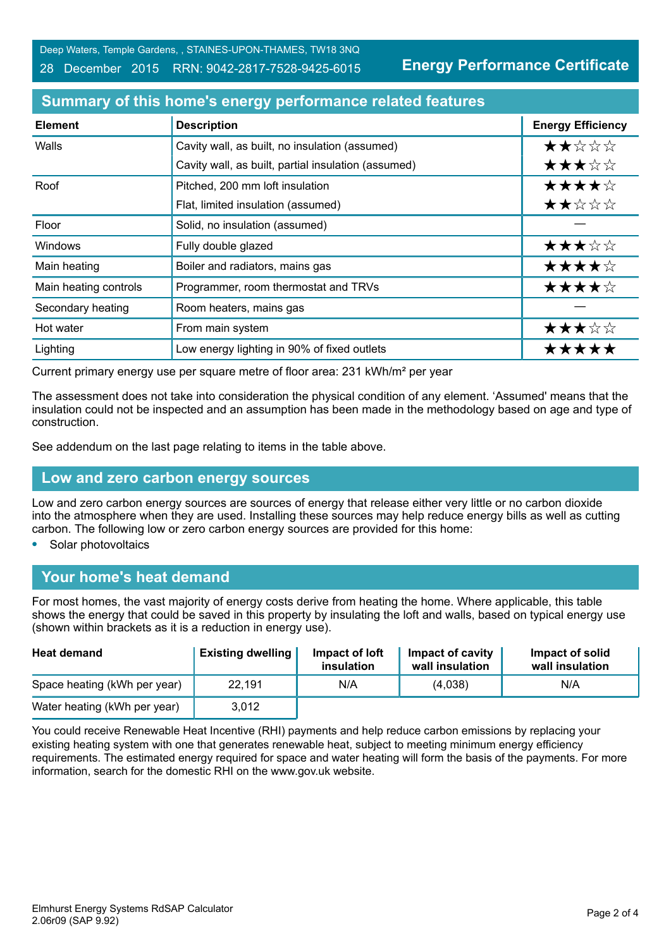Deep Waters, Temple Gardens, , STAINES-UPON-THAMES, TW18 3NQ

#### 28 December 2015 RRN: 9042-2817-7528-9425-6015

**Energy Performance Certificate**

#### **Summary of this home's energy performance related features**

| <b>Element</b>        | <b>Description</b>                                  | <b>Energy Efficiency</b> |
|-----------------------|-----------------------------------------------------|--------------------------|
| Walls                 | Cavity wall, as built, no insulation (assumed)      | ★★☆☆☆                    |
|                       | Cavity wall, as built, partial insulation (assumed) | ★★★☆☆                    |
| Roof                  | Pitched, 200 mm loft insulation                     | ★★★★☆                    |
|                       | Flat, limited insulation (assumed)                  | ★★☆☆☆                    |
| Floor                 | Solid, no insulation (assumed)                      |                          |
| <b>Windows</b>        | Fully double glazed                                 | ★★★☆☆                    |
| Main heating          | Boiler and radiators, mains gas                     | ★★★★☆                    |
| Main heating controls | Programmer, room thermostat and TRVs                | ★★★★☆                    |
| Secondary heating     | Room heaters, mains gas                             |                          |
| Hot water             | From main system                                    | ★★★☆☆                    |
| Lighting              | Low energy lighting in 90% of fixed outlets         | *****                    |

Current primary energy use per square metre of floor area: 231 kWh/m² per year

The assessment does not take into consideration the physical condition of any element. 'Assumed' means that the insulation could not be inspected and an assumption has been made in the methodology based on age and type of construction.

See addendum on the last page relating to items in the table above.

#### **Low and zero carbon energy sources**

Low and zero carbon energy sources are sources of energy that release either very little or no carbon dioxide into the atmosphere when they are used. Installing these sources may help reduce energy bills as well as cutting carbon. The following low or zero carbon energy sources are provided for this home:

**•** Solar photovoltaics

# **Your home's heat demand**

For most homes, the vast majority of energy costs derive from heating the home. Where applicable, this table shows the energy that could be saved in this property by insulating the loft and walls, based on typical energy use (shown within brackets as it is a reduction in energy use).

| <b>Heat demand</b>           | <b>Existing dwelling</b> | Impact of loft<br>insulation | Impact of cavity<br>wall insulation | Impact of solid<br>wall insulation |
|------------------------------|--------------------------|------------------------------|-------------------------------------|------------------------------------|
| Space heating (kWh per year) | 22,191                   | N/A                          | (4,038)                             | N/A                                |
| Water heating (kWh per year) | 3,012                    |                              |                                     |                                    |

You could receive Renewable Heat Incentive (RHI) payments and help reduce carbon emissions by replacing your existing heating system with one that generates renewable heat, subject to meeting minimum energy efficiency requirements. The estimated energy required for space and water heating will form the basis of the payments. For more information, search for the domestic RHI on the www.gov.uk website.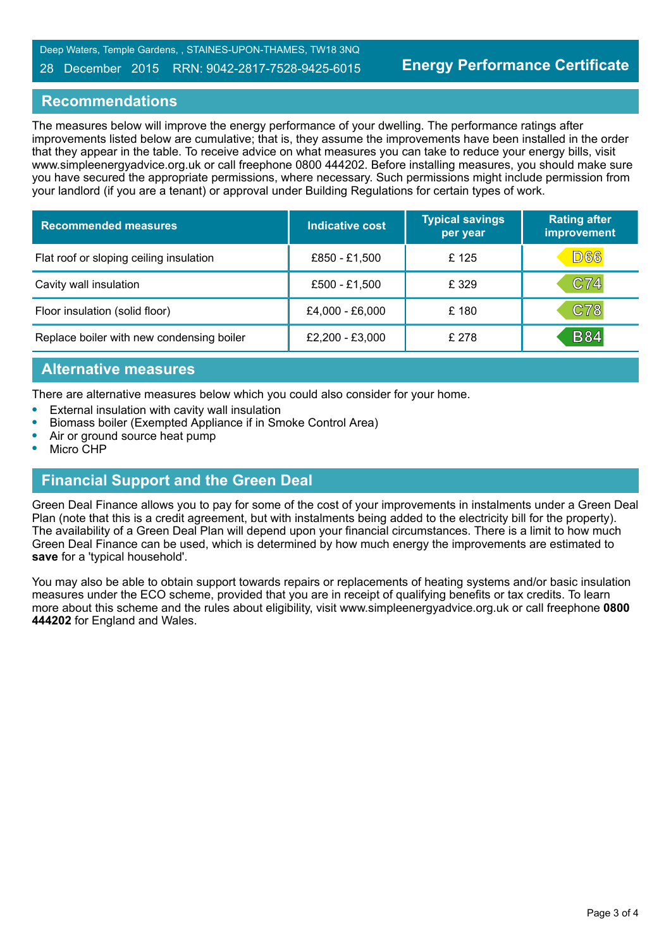#### 28 December 2015 RRN: 9042-2817-7528-9425-6015

#### **Recommendations**

The measures below will improve the energy performance of your dwelling. The performance ratings after improvements listed below are cumulative; that is, they assume the improvements have been installed in the order that they appear in the table. To receive advice on what measures you can take to reduce your energy bills, visit www.simpleenergyadvice.org.uk or call freephone 0800 444202. Before installing measures, you should make sure you have secured the appropriate permissions, where necessary. Such permissions might include permission from your landlord (if you are a tenant) or approval under Building Regulations for certain types of work.

| <b>Recommended measures</b>               | <b>Indicative cost</b> | <b>Typical savings</b><br>per year | <b>Rating after</b><br>improvement |
|-------------------------------------------|------------------------|------------------------------------|------------------------------------|
| Flat roof or sloping ceiling insulation   | £850 - £1,500          | £125                               | D66                                |
| Cavity wall insulation                    | £500 - £1,500          | £ 329                              | C74                                |
| Floor insulation (solid floor)            | £4,000 - £6,000        | £180                               | C78                                |
| Replace boiler with new condensing boiler | £2,200 - £3,000        | £ 278                              | <b>B84</b>                         |

#### **Alternative measures**

There are alternative measures below which you could also consider for your home.

- **•** External insulation with cavity wall insulation
- **•** Biomass boiler (Exempted Appliance if in Smoke Control Area)
- **•** Air or ground source heat pump
- **•** Micro CHP

#### **Financial Support and the Green Deal**

Green Deal Finance allows you to pay for some of the cost of your improvements in instalments under a Green Deal Plan (note that this is a credit agreement, but with instalments being added to the electricity bill for the property). The availability of a Green Deal Plan will depend upon your financial circumstances. There is a limit to how much Green Deal Finance can be used, which is determined by how much energy the improvements are estimated to **save** for a 'typical household'.

You may also be able to obtain support towards repairs or replacements of heating systems and/or basic insulation measures under the ECO scheme, provided that you are in receipt of qualifying benefits or tax credits. To learn more about this scheme and the rules about eligibility, visit www.simpleenergyadvice.org.uk or call freephone **0800 444202** for England and Wales.